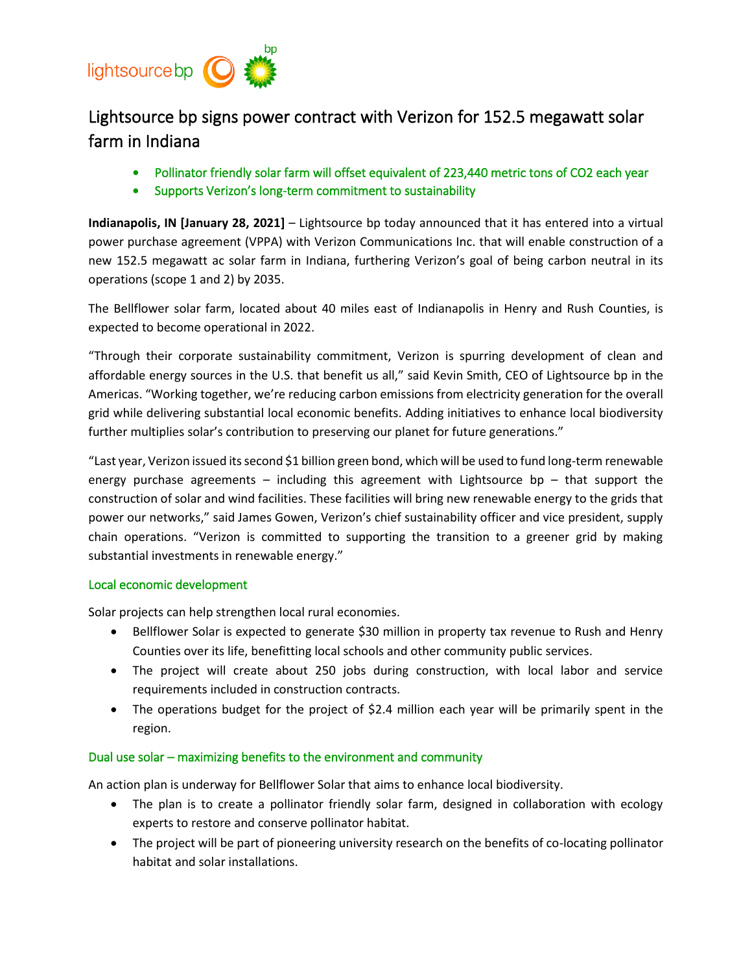

## Lightsource bp signs power contract with Verizon for 152.5 megawatt solar farm in Indiana

- Pollinator friendly solar farm will offset equivalent of 223,440 metric tons of CO2 each year
- Supports Verizon's long-term commitment to sustainability

**Indianapolis, IN [January 28, 2021]** – Lightsource bp today announced that it has entered into a virtual power purchase agreement (VPPA) with Verizon Communications Inc. that will enable construction of a new 152.5 megawatt ac solar farm in Indiana, furthering Verizon's goal of being carbon neutral in its operations (scope 1 and 2) by 2035.

The Bellflower solar farm, located about 40 miles east of Indianapolis in Henry and Rush Counties, is expected to become operational in 2022.

"Through their corporate sustainability commitment, Verizon is spurring development of clean and affordable energy sources in the U.S. that benefit us all," said Kevin Smith, CEO of Lightsource bp in the Americas. "Working together, we're reducing carbon emissions from electricity generation for the overall grid while delivering substantial local economic benefits. Adding initiatives to enhance local biodiversity further multiplies solar's contribution to preserving our planet for future generations."

"Last year, Verizon issued its second \$1 billion green bond, which will be used to fund long-term renewable energy purchase agreements – including this agreement with Lightsource bp – that support the construction of solar and wind facilities. These facilities will bring new renewable energy to the grids that power our networks," said James Gowen, Verizon's chief sustainability officer and vice president, supply chain operations. "Verizon is committed to supporting the transition to a greener grid by making substantial investments in renewable energy."

## Local economic development

Solar projects can help strengthen local rural economies.

- Bellflower Solar is expected to generate \$30 million in property tax revenue to Rush and Henry Counties over its life, benefitting local schools and other community public services.
- The project will create about 250 jobs during construction, with local labor and service requirements included in construction contracts.
- The operations budget for the project of \$2.4 million each year will be primarily spent in the region.

## Dual use solar – maximizing benefits to the environment and community

An action plan is underway for Bellflower Solar that aims to enhance local biodiversity.

- The plan is to create a pollinator friendly solar farm, designed in collaboration with ecology experts to restore and conserve pollinator habitat.
- The project will be part of pioneering university research on the benefits of co-locating pollinator habitat and solar installations.